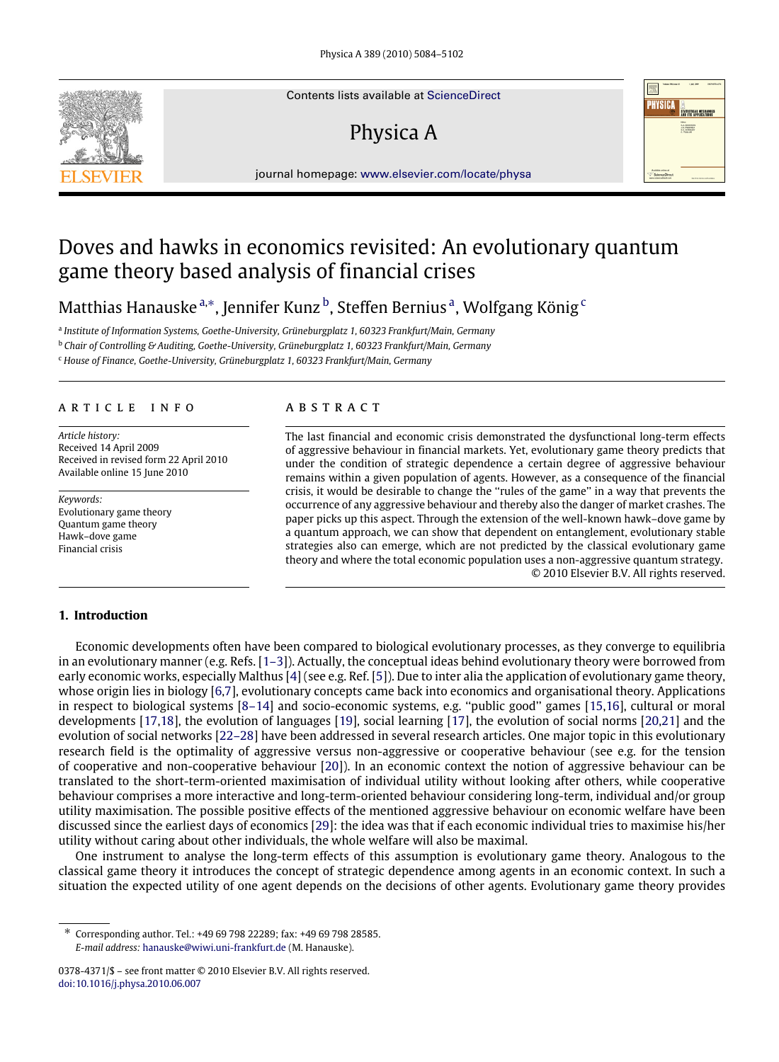Contents lists available at [ScienceDirect](http://www.elsevier.com/locate/physa)

# Physica A



journal homepage: [www.elsevier.com/locate/physa](http://www.elsevier.com/locate/physa)

## Doves and hawks in economics revisited: An evolutionary quantum game theory based analysis of financial crises

Matthias Hanauske ª,\*, Jennifer Kunz <sup>[b](#page-0-2)</sup>, Steffen Bernius ª, Wolfg[a](#page-0-0)ng König <sup>[c](#page-0-3)</sup>

<span id="page-0-0"></span>a *Institute of Information Systems, Goethe-University, Grüneburgplatz 1, 60323 Frankfurt/Main, Germany*

<span id="page-0-2"></span><sup>b</sup> *Chair of Controlling & Auditing, Goethe-University, Grüneburgplatz 1, 60323 Frankfurt/Main, Germany*

<span id="page-0-3"></span><sup>c</sup> *House of Finance, Goethe-University, Grüneburgplatz 1, 60323 Frankfurt/Main, Germany*

#### A R T I C L E I N F O

*Article history:* Received 14 April 2009 Received in revised form 22 April 2010 Available online 15 June 2010

*Keywords:* Evolutionary game theory Quantum game theory Hawk–dove game Financial crisis

### a b s t r a c t

The last financial and economic crisis demonstrated the dysfunctional long-term effects of aggressive behaviour in financial markets. Yet, evolutionary game theory predicts that under the condition of strategic dependence a certain degree of aggressive behaviour remains within a given population of agents. However, as a consequence of the financial crisis, it would be desirable to change the ''rules of the game'' in a way that prevents the occurrence of any aggressive behaviour and thereby also the danger of market crashes. The paper picks up this aspect. Through the extension of the well-known hawk–dove game by a quantum approach, we can show that dependent on entanglement, evolutionary stable strategies also can emerge, which are not predicted by the classical evolutionary game theory and where the total economic population uses a non-aggressive quantum strategy. © 2010 Elsevier B.V. All rights reserved.

### **1. Introduction**

Economic developments often have been compared to biological evolutionary processes, as they converge to equilibria in an evolutionary manner (e.g. Refs. [\[1–3\]](#page--1-0)). Actually, the conceptual ideas behind evolutionary theory were borrowed from early economic works, especially Malthus [\[4\]](#page--1-1) (see e.g. Ref. [\[5\]](#page--1-2)). Due to inter alia the application of evolutionary game theory, whose origin lies in biology [\[6](#page--1-3)[,7\]](#page--1-4), evolutionary concepts came back into economics and organisational theory. Applications in respect to biological systems [\[8–14\]](#page--1-5) and socio-economic systems, e.g. ''public good'' games [\[15,](#page--1-6)[16\]](#page--1-7), cultural or moral developments [\[17](#page--1-8)[,18\]](#page--1-9), the evolution of languages [\[19\]](#page--1-10), social learning [\[17\]](#page--1-8), the evolution of social norms [\[20,](#page--1-11)[21\]](#page--1-12) and the evolution of social networks [\[22–28\]](#page--1-13) have been addressed in several research articles. One major topic in this evolutionary research field is the optimality of aggressive versus non-aggressive or cooperative behaviour (see e.g. for the tension of cooperative and non-cooperative behaviour [\[20\]](#page--1-11)). In an economic context the notion of aggressive behaviour can be translated to the short-term-oriented maximisation of individual utility without looking after others, while cooperative behaviour comprises a more interactive and long-term-oriented behaviour considering long-term, individual and/or group utility maximisation. The possible positive effects of the mentioned aggressive behaviour on economic welfare have been discussed since the earliest days of economics [\[29\]](#page--1-14): the idea was that if each economic individual tries to maximise his/her utility without caring about other individuals, the whole welfare will also be maximal.

One instrument to analyse the long-term effects of this assumption is evolutionary game theory. Analogous to the classical game theory it introduces the concept of strategic dependence among agents in an economic context. In such a situation the expected utility of one agent depends on the decisions of other agents. Evolutionary game theory provides

<span id="page-0-1"></span><sup>∗</sup> Corresponding author. Tel.: +49 69 798 22289; fax: +49 69 798 28585. *E-mail address:* [hanauske@wiwi.uni-frankfurt.de](mailto:hanauske@wiwi.uni-frankfurt.de) (M. Hanauske).

<sup>0378-4371/\$ –</sup> see front matter © 2010 Elsevier B.V. All rights reserved. [doi:10.1016/j.physa.2010.06.007](http://dx.doi.org/10.1016/j.physa.2010.06.007)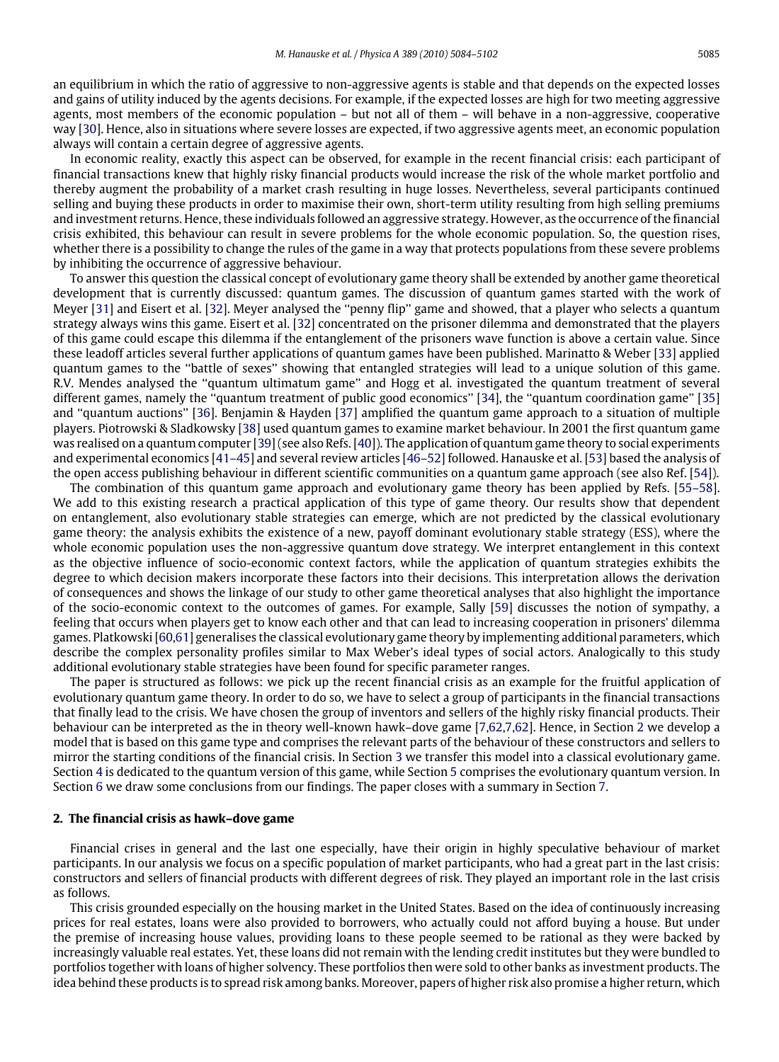an equilibrium in which the ratio of aggressive to non-aggressive agents is stable and that depends on the expected losses and gains of utility induced by the agents decisions. For example, if the expected losses are high for two meeting aggressive agents, most members of the economic population – but not all of them – will behave in a non-aggressive, cooperative way [\[30\]](#page--1-15). Hence, also in situations where severe losses are expected, if two aggressive agents meet, an economic population always will contain a certain degree of aggressive agents.

In economic reality, exactly this aspect can be observed, for example in the recent financial crisis: each participant of financial transactions knew that highly risky financial products would increase the risk of the whole market portfolio and thereby augment the probability of a market crash resulting in huge losses. Nevertheless, several participants continued selling and buying these products in order to maximise their own, short-term utility resulting from high selling premiums and investment returns. Hence, these individuals followed an aggressive strategy. However, as the occurrence of the financial crisis exhibited, this behaviour can result in severe problems for the whole economic population. So, the question rises, whether there is a possibility to change the rules of the game in a way that protects populations from these severe problems by inhibiting the occurrence of aggressive behaviour.

To answer this question the classical concept of evolutionary game theory shall be extended by another game theoretical development that is currently discussed: quantum games. The discussion of quantum games started with the work of Meyer [\[31\]](#page--1-16) and Eisert et al. [\[32\]](#page--1-17). Meyer analysed the ''penny flip'' game and showed, that a player who selects a quantum strategy always wins this game. Eisert et al. [\[32\]](#page--1-17) concentrated on the prisoner dilemma and demonstrated that the players of this game could escape this dilemma if the entanglement of the prisoners wave function is above a certain value. Since these leadoff articles several further applications of quantum games have been published. Marinatto & Weber [\[33\]](#page--1-18) applied quantum games to the ''battle of sexes'' showing that entangled strategies will lead to a unique solution of this game. R.V. Mendes analysed the ''quantum ultimatum game'' and Hogg et al. investigated the quantum treatment of several different games, namely the "quantum treatment of public good economics" [\[34\]](#page--1-19), the "quantum coordination game" [\[35\]](#page--1-20) and ''quantum auctions'' [\[36\]](#page--1-21). Benjamin & Hayden [\[37\]](#page--1-22) amplified the quantum game approach to a situation of multiple players. Piotrowski & Sladkowsky [\[38\]](#page--1-23) used quantum games to examine market behaviour. In 2001 the first quantum game was realised on a quantum computer [\[39\]](#page--1-24) (see also Refs. [\[40\]](#page--1-25)). The application of quantum game theory to social experiments and experimental economics [\[41–45\]](#page--1-26) and several review articles [\[46–52\]](#page--1-27) followed. Hanauske et al. [\[53\]](#page--1-28) based the analysis of the open access publishing behaviour in different scientific communities on a quantum game approach (see also Ref. [\[54\]](#page--1-29)).

The combination of this quantum game approach and evolutionary game theory has been applied by Refs. [\[55–58\]](#page--1-30). We add to this existing research a practical application of this type of game theory. Our results show that dependent on entanglement, also evolutionary stable strategies can emerge, which are not predicted by the classical evolutionary game theory: the analysis exhibits the existence of a new, payoff dominant evolutionary stable strategy (ESS), where the whole economic population uses the non-aggressive quantum dove strategy. We interpret entanglement in this context as the objective influence of socio-economic context factors, while the application of quantum strategies exhibits the degree to which decision makers incorporate these factors into their decisions. This interpretation allows the derivation of consequences and shows the linkage of our study to other game theoretical analyses that also highlight the importance of the socio-economic context to the outcomes of games. For example, Sally [\[59\]](#page--1-31) discusses the notion of sympathy, a feeling that occurs when players get to know each other and that can lead to increasing cooperation in prisoners' dilemma games. Platkowski [\[60,](#page--1-32)[61\]](#page--1-33) generalises the classical evolutionary game theory by implementing additional parameters, which describe the complex personality profiles similar to Max Weber's ideal types of social actors. Analogically to this study additional evolutionary stable strategies have been found for specific parameter ranges.

The paper is structured as follows: we pick up the recent financial crisis as an example for the fruitful application of evolutionary quantum game theory. In order to do so, we have to select a group of participants in the financial transactions that finally lead to the crisis. We have chosen the group of inventors and sellers of the highly risky financial products. Their behaviour can be interpreted as the in theory well-known hawk–dove game [\[7,](#page--1-4)[62](#page--1-34)[,7](#page--1-4)[,62\]](#page--1-34). Hence, in Section [2](#page-1-0) we develop a model that is based on this game type and comprises the relevant parts of the behaviour of these constructors and sellers to mirror the starting conditions of the financial crisis. In Section [3](#page--1-35) we transfer this model into a classical evolutionary game. Section [4](#page--1-36) is dedicated to the quantum version of this game, while Section [5](#page--1-37) comprises the evolutionary quantum version. In Section [6](#page--1-38) we draw some conclusions from our findings. The paper closes with a summary in Section [7.](#page--1-39)

#### <span id="page-1-0"></span>**2. The financial crisis as hawk–dove game**

Financial crises in general and the last one especially, have their origin in highly speculative behaviour of market participants. In our analysis we focus on a specific population of market participants, who had a great part in the last crisis: constructors and sellers of financial products with different degrees of risk. They played an important role in the last crisis as follows.

This crisis grounded especially on the housing market in the United States. Based on the idea of continuously increasing prices for real estates, loans were also provided to borrowers, who actually could not afford buying a house. But under the premise of increasing house values, providing loans to these people seemed to be rational as they were backed by increasingly valuable real estates. Yet, these loans did not remain with the lending credit institutes but they were bundled to portfolios together with loans of higher solvency. These portfolios then were sold to other banks as investment products. The idea behind these products is to spread risk among banks. Moreover, papers of higher risk also promise a higher return, which